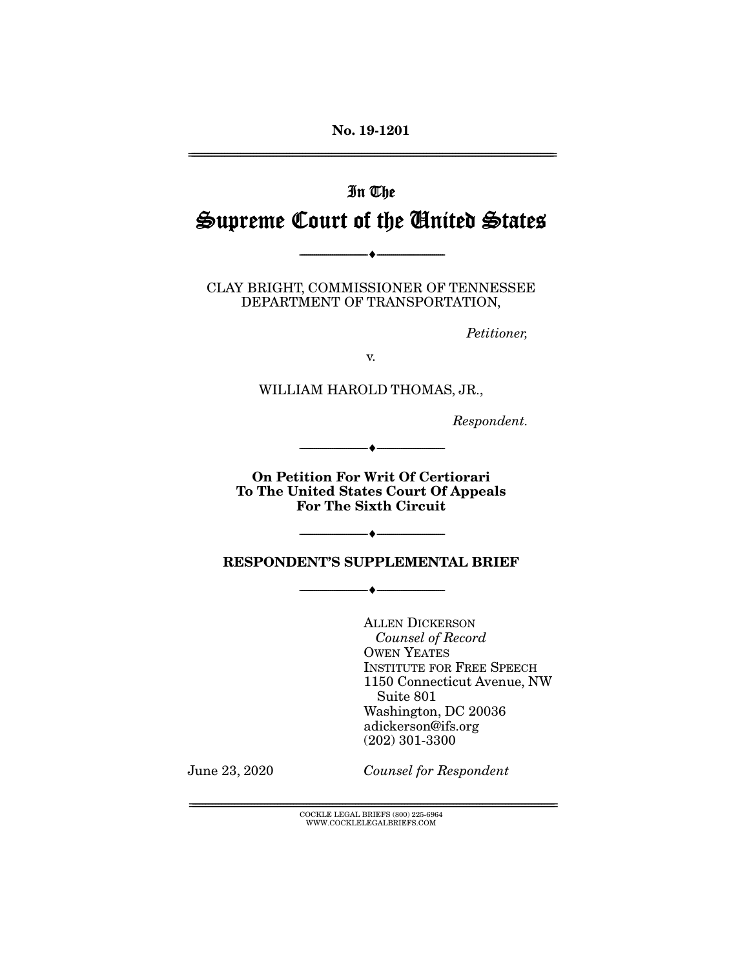No. 19-1201 ================================================================================================================

# In The Supreme Court of the United States

CLAY BRIGHT, COMMISSIONER OF TENNESSEE DEPARTMENT OF TRANSPORTATION,

--------------------------------- ---------------------------------

*Petitioner,* 

v.

WILLIAM HAROLD THOMAS, JR.,

*Respondent.* 

On Petition For Writ Of Certiorari To The United States Court Of Appeals For The Sixth Circuit

--------------------------------- ---------------------------------

RESPONDENT'S SUPPLEMENTAL BRIEF

--------------------------------- ---------------------------------

--------------------------------- ---------------------------------

ALLEN DICKERSON *Counsel of Record*  OWEN YEATES INSTITUTE FOR FREE SPEECH 1150 Connecticut Avenue, NW Suite 801 Washington, DC 20036 adickerson@ifs.org (202) 301-3300

June 23, 2020 *Counsel for Respondent*

 ${COCKLE}$  LEGAL BRIEFS (800) 225-6964 WWW.COCKLELEGALBRIEFS.COM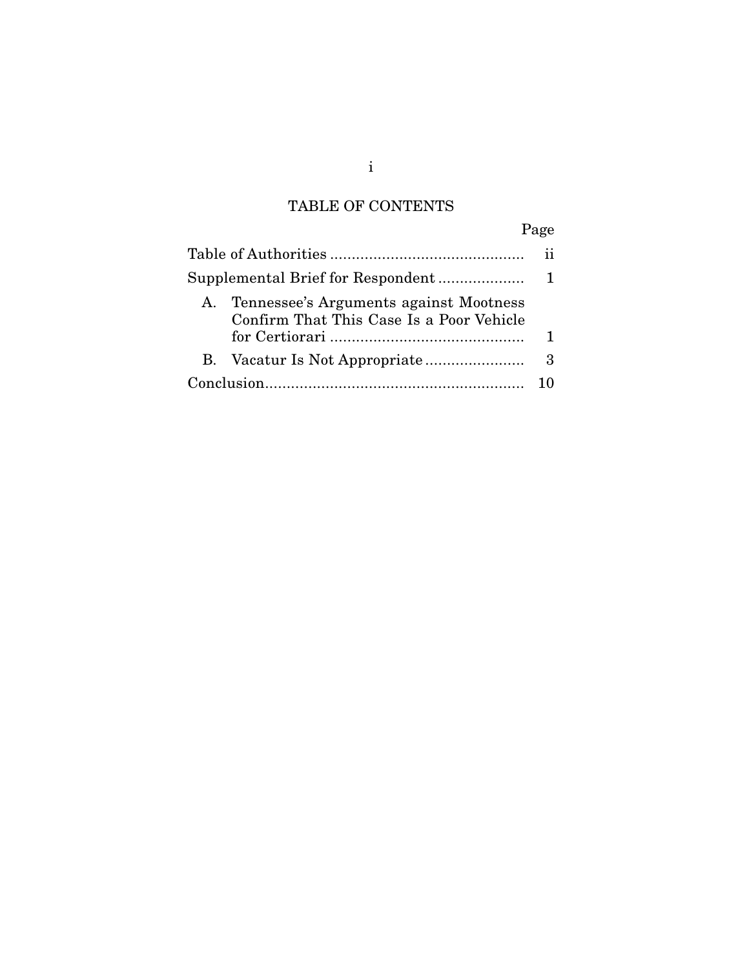## TABLE OF CONTENTS

| ۰, |
|----|
|----|

| Tennessee's Arguments against Mootness<br>Α.<br>Confirm That This Case Is a Poor Vehicle |   |
|------------------------------------------------------------------------------------------|---|
|                                                                                          |   |
| В.                                                                                       | 3 |
|                                                                                          |   |

i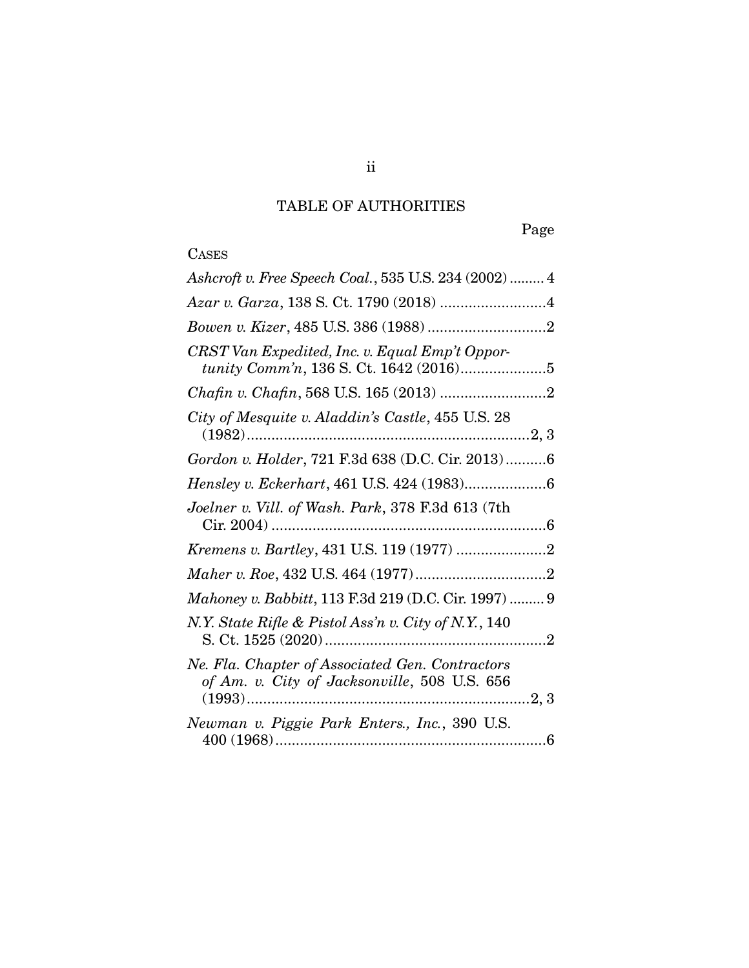## TABLE OF AUTHORITIES

## **CASES**

| Ashcroft v. Free Speech Coal., 535 U.S. 234 (2002)  4                                           |
|-------------------------------------------------------------------------------------------------|
|                                                                                                 |
|                                                                                                 |
| CRST Van Expedited, Inc. v. Equal Emp't Oppor-                                                  |
|                                                                                                 |
| City of Mesquite v. Aladdin's Castle, 455 U.S. 28                                               |
| Gordon v. Holder, 721 F.3d 638 (D.C. Cir. 2013)6                                                |
|                                                                                                 |
| Joelner v. Vill. of Wash. Park, 378 F.3d 613 (7th                                               |
|                                                                                                 |
|                                                                                                 |
| Mahoney v. Babbitt, 113 F.3d 219 (D.C. Cir. 1997)  9                                            |
| N.Y. State Rifle & Pistol Ass'n v. City of N.Y., 140                                            |
| Ne. Fla. Chapter of Associated Gen. Contractors<br>of Am. v. City of Jacksonville, 508 U.S. 656 |
| Newman v. Piggie Park Enters., Inc., 390 U.S.                                                   |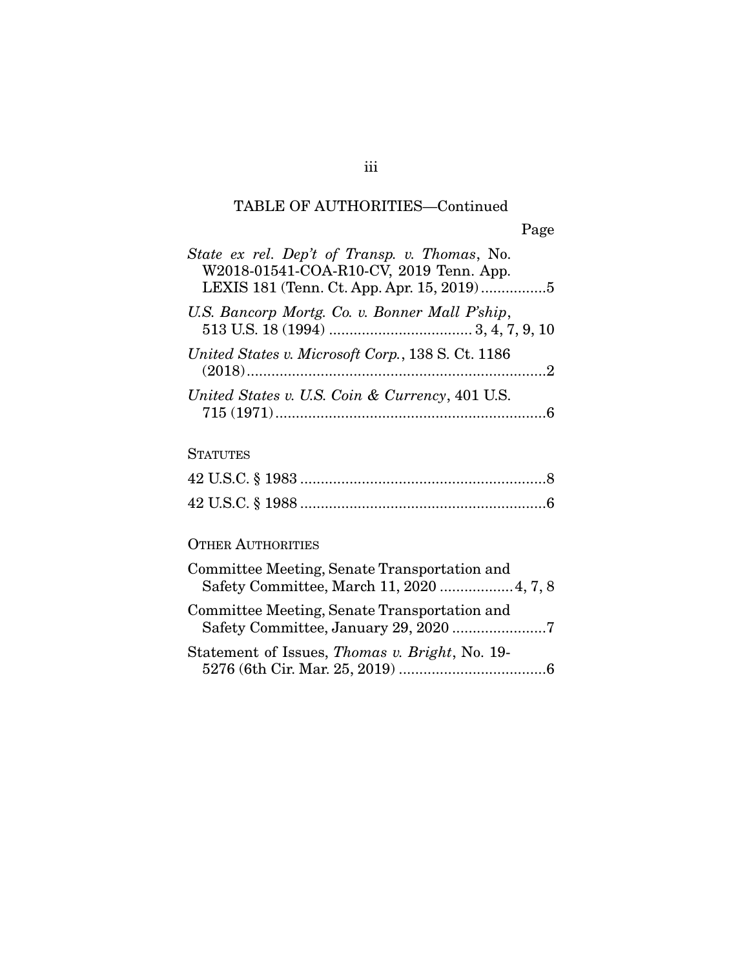### TABLE OF AUTHORITIES—Continued

| State ex rel. Dep't of Transp. v. Thomas, No.<br>W2018-01541-COA-R10-CV, 2019 Tenn. App.<br>LEXIS 181 (Tenn. Ct. App. Apr. 15, 2019)5 |
|---------------------------------------------------------------------------------------------------------------------------------------|
| U.S. Bancorp Mortg. Co. v. Bonner Mall P'ship,                                                                                        |
| United States v. Microsoft Corp., 138 S. Ct. 1186                                                                                     |
| United States v. U.S. Coin & Currency, 401 U.S.                                                                                       |

### **STATUTES**

#### OTHER AUTHORITIES

| Committee Meeting, Senate Transportation and<br>Safety Committee, March 11, 2020  4, 7, 8 |
|-------------------------------------------------------------------------------------------|
| Committee Meeting, Senate Transportation and                                              |
| Statement of Issues, <i>Thomas v. Bright</i> , No. 19-                                    |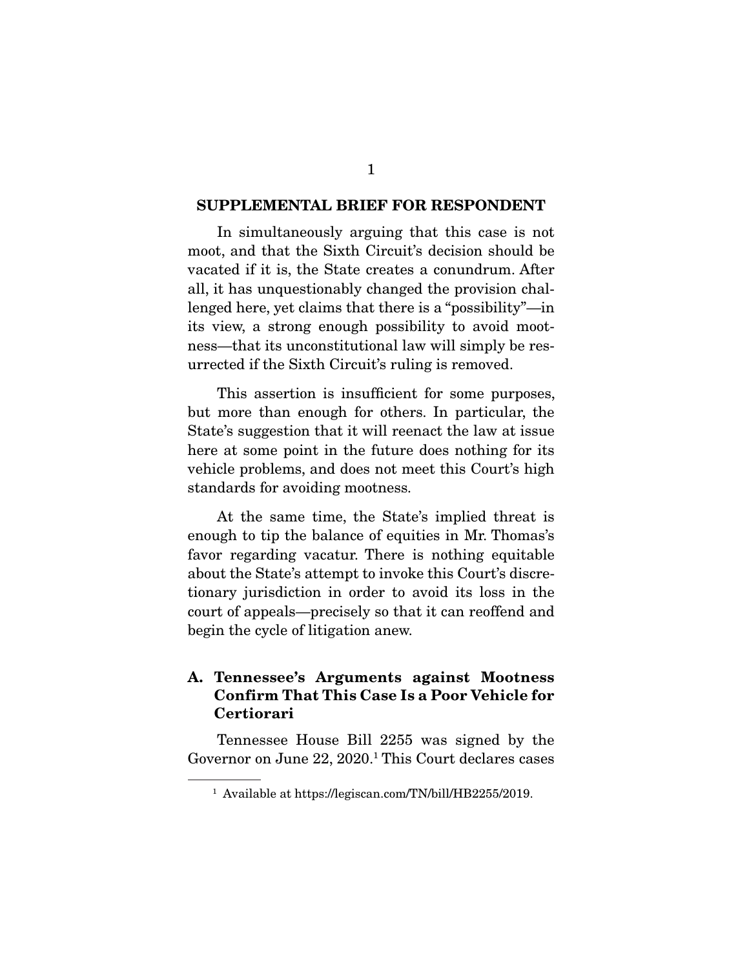#### SUPPLEMENTAL BRIEF FOR RESPONDENT

 In simultaneously arguing that this case is not moot, and that the Sixth Circuit's decision should be vacated if it is, the State creates a conundrum. After all, it has unquestionably changed the provision challenged here, yet claims that there is a "possibility"—in its view, a strong enough possibility to avoid mootness—that its unconstitutional law will simply be resurrected if the Sixth Circuit's ruling is removed.

 This assertion is insufficient for some purposes, but more than enough for others. In particular, the State's suggestion that it will reenact the law at issue here at some point in the future does nothing for its vehicle problems, and does not meet this Court's high standards for avoiding mootness.

 At the same time, the State's implied threat is enough to tip the balance of equities in Mr. Thomas's favor regarding vacatur. There is nothing equitable about the State's attempt to invoke this Court's discretionary jurisdiction in order to avoid its loss in the court of appeals—precisely so that it can reoffend and begin the cycle of litigation anew.

#### A. Tennessee's Arguments against Mootness Confirm That This Case Is a Poor Vehicle for Certiorari

 Tennessee House Bill 2255 was signed by the Governor on June 22, 2020.<sup>1</sup> This Court declares cases

<sup>1</sup> Available at https://legiscan.com/TN/bill/HB2255/2019.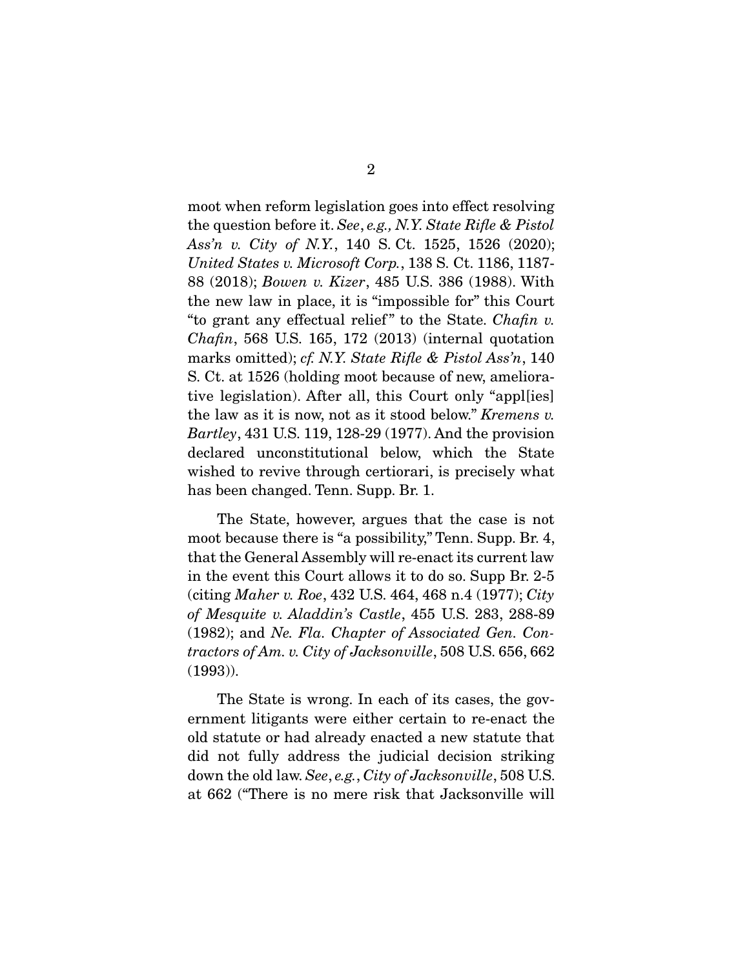moot when reform legislation goes into effect resolving the question before it. *See*, *e.g., N.Y. State Rifle & Pistol Ass'n v. City of N.Y.*, 140 S. Ct. 1525, 1526 (2020); *United States v. Microsoft Corp.*, 138 S. Ct. 1186, 1187- 88 (2018); *Bowen v. Kizer*, 485 U.S. 386 (1988). With the new law in place, it is "impossible for" this Court "to grant any effectual relief " to the State. *Chafin v. Chafin*, 568 U.S. 165, 172 (2013) (internal quotation marks omitted); *cf. N.Y. State Rifle & Pistol Ass'n*, 140 S. Ct. at 1526 (holding moot because of new, ameliorative legislation). After all, this Court only "appl[ies] the law as it is now, not as it stood below." *Kremens v. Bartley*, 431 U.S. 119, 128-29 (1977). And the provision declared unconstitutional below, which the State wished to revive through certiorari, is precisely what has been changed. Tenn. Supp. Br. 1.

 The State, however, argues that the case is not moot because there is "a possibility," Tenn. Supp. Br. 4, that the General Assembly will re-enact its current law in the event this Court allows it to do so. Supp Br. 2-5 (citing *Maher v. Roe*, 432 U.S. 464, 468 n.4 (1977); *City of Mesquite v. Aladdin's Castle*, 455 U.S. 283, 288-89 (1982); and *Ne. Fla. Chapter of Associated Gen. Contractors of Am. v. City of Jacksonville*, 508 U.S. 656, 662 (1993)).

 The State is wrong. In each of its cases, the government litigants were either certain to re-enact the old statute or had already enacted a new statute that did not fully address the judicial decision striking down the old law. *See*, *e.g.*, *City of Jacksonville*, 508 U.S. at 662 ("There is no mere risk that Jacksonville will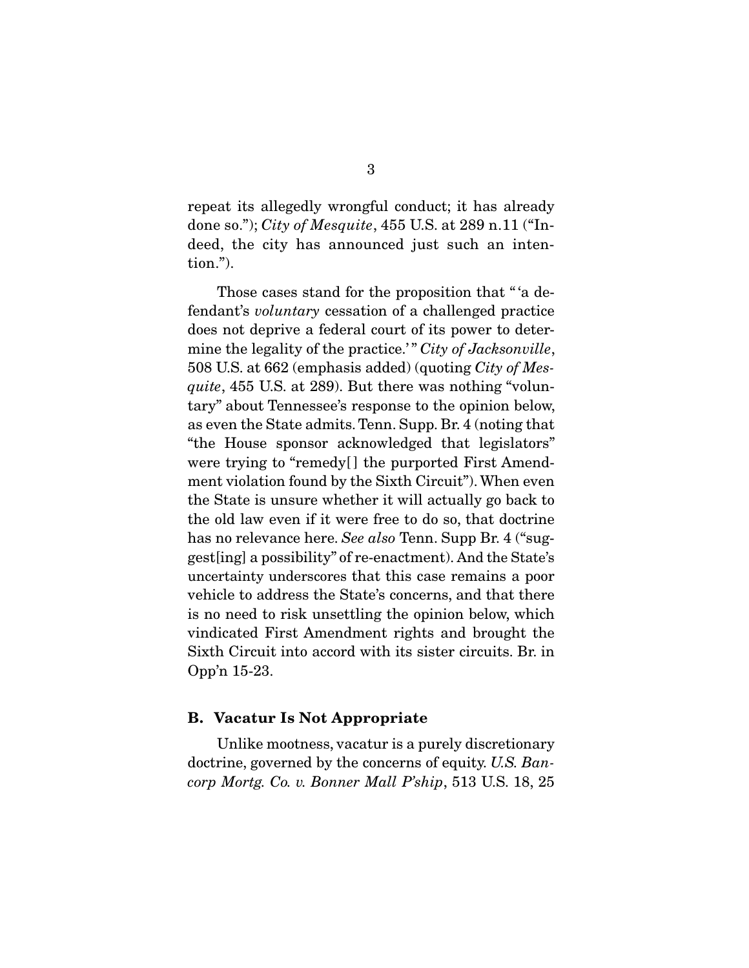repeat its allegedly wrongful conduct; it has already done so."); *City of Mesquite*, 455 U.S. at 289 n.11 ("Indeed, the city has announced just such an intention.").

Those cases stand for the proposition that "'a defendant's *voluntary* cessation of a challenged practice does not deprive a federal court of its power to determine the legality of the practice.'" *City of Jacksonville*, 508 U.S. at 662 (emphasis added) (quoting *City of Mesquite*, 455 U.S. at 289). But there was nothing "voluntary" about Tennessee's response to the opinion below, as even the State admits. Tenn. Supp. Br. 4 (noting that "the House sponsor acknowledged that legislators" were trying to "remedy[] the purported First Amendment violation found by the Sixth Circuit"). When even the State is unsure whether it will actually go back to the old law even if it were free to do so, that doctrine has no relevance here. *See also* Tenn. Supp Br. 4 ("suggest[ing] a possibility" of re-enactment). And the State's uncertainty underscores that this case remains a poor vehicle to address the State's concerns, and that there is no need to risk unsettling the opinion below, which vindicated First Amendment rights and brought the Sixth Circuit into accord with its sister circuits. Br. in Opp'n 15-23.

#### B. Vacatur Is Not Appropriate

 Unlike mootness, vacatur is a purely discretionary doctrine, governed by the concerns of equity. *U.S. Bancorp Mortg. Co. v. Bonner Mall P'ship*, 513 U.S. 18, 25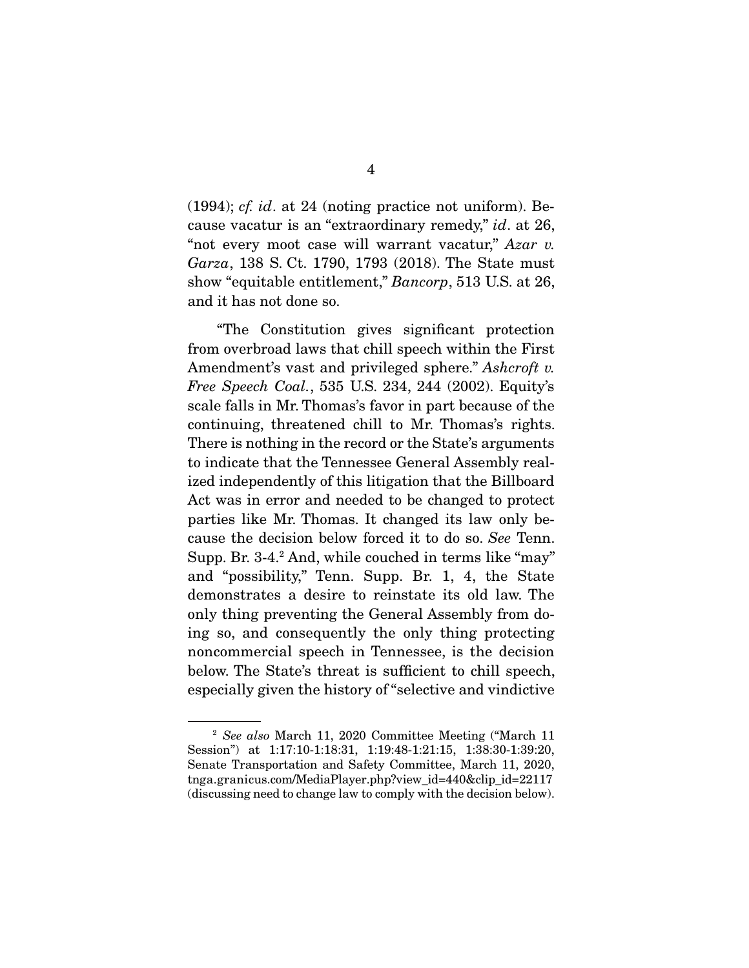(1994); *cf. id*. at 24 (noting practice not uniform). Because vacatur is an "extraordinary remedy," *id*. at 26, "not every moot case will warrant vacatur," *Azar v. Garza*, 138 S. Ct. 1790, 1793 (2018). The State must show "equitable entitlement," *Bancorp*, 513 U.S. at 26, and it has not done so.

 "The Constitution gives significant protection from overbroad laws that chill speech within the First Amendment's vast and privileged sphere." *Ashcroft v. Free Speech Coal.*, 535 U.S. 234, 244 (2002). Equity's scale falls in Mr. Thomas's favor in part because of the continuing, threatened chill to Mr. Thomas's rights. There is nothing in the record or the State's arguments to indicate that the Tennessee General Assembly realized independently of this litigation that the Billboard Act was in error and needed to be changed to protect parties like Mr. Thomas. It changed its law only because the decision below forced it to do so. *See* Tenn. Supp. Br. 3-4.2 And, while couched in terms like "may" and "possibility," Tenn. Supp. Br. 1, 4, the State demonstrates a desire to reinstate its old law. The only thing preventing the General Assembly from doing so, and consequently the only thing protecting noncommercial speech in Tennessee, is the decision below. The State's threat is sufficient to chill speech, especially given the history of "selective and vindictive

<sup>2</sup> *See also* March 11, 2020 Committee Meeting ("March 11 Session") at 1:17:10-1:18:31, 1:19:48-1:21:15, 1:38:30-1:39:20, Senate Transportation and Safety Committee, March 11, 2020, tnga.granicus.com/MediaPlayer.php?view\_id=440&clip\_id=22117 (discussing need to change law to comply with the decision below).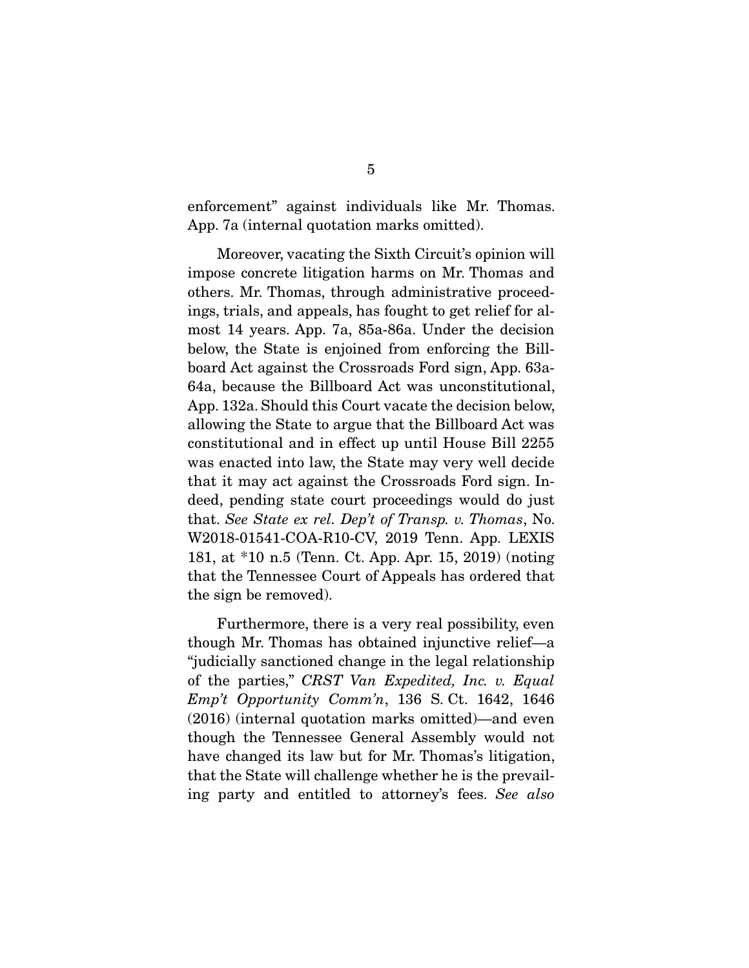enforcement" against individuals like Mr. Thomas. App. 7a (internal quotation marks omitted).

 Moreover, vacating the Sixth Circuit's opinion will impose concrete litigation harms on Mr. Thomas and others. Mr. Thomas, through administrative proceedings, trials, and appeals, has fought to get relief for almost 14 years. App. 7a, 85a-86a. Under the decision below, the State is enjoined from enforcing the Billboard Act against the Crossroads Ford sign, App. 63a-64a, because the Billboard Act was unconstitutional, App. 132a. Should this Court vacate the decision below, allowing the State to argue that the Billboard Act was constitutional and in effect up until House Bill 2255 was enacted into law, the State may very well decide that it may act against the Crossroads Ford sign. Indeed, pending state court proceedings would do just that. *See State ex rel. Dep't of Transp. v. Thomas*, No. W2018-01541-COA-R10-CV, 2019 Tenn. App. LEXIS 181, at \*10 n.5 (Tenn. Ct. App. Apr. 15, 2019) (noting that the Tennessee Court of Appeals has ordered that the sign be removed).

 Furthermore, there is a very real possibility, even though Mr. Thomas has obtained injunctive relief—a "judicially sanctioned change in the legal relationship of the parties," *CRST Van Expedited, Inc. v. Equal Emp't Opportunity Comm'n*, 136 S. Ct. 1642, 1646 (2016) (internal quotation marks omitted)—and even though the Tennessee General Assembly would not have changed its law but for Mr. Thomas's litigation, that the State will challenge whether he is the prevailing party and entitled to attorney's fees. *See also*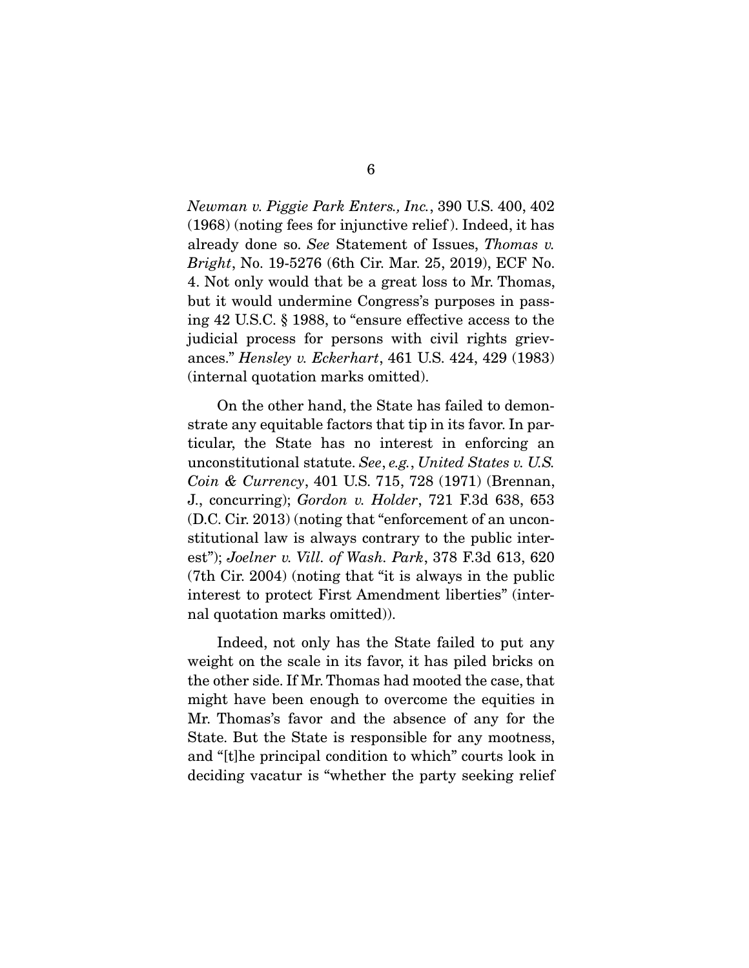*Newman v. Piggie Park Enters., Inc.*, 390 U.S. 400, 402 (1968) (noting fees for injunctive relief ). Indeed, it has already done so. *See* Statement of Issues, *Thomas v. Bright*, No. 19-5276 (6th Cir. Mar. 25, 2019), ECF No. 4. Not only would that be a great loss to Mr. Thomas, but it would undermine Congress's purposes in passing 42 U.S.C. § 1988, to "ensure effective access to the judicial process for persons with civil rights grievances." *Hensley v. Eckerhart*, 461 U.S. 424, 429 (1983) (internal quotation marks omitted).

 On the other hand, the State has failed to demonstrate any equitable factors that tip in its favor. In particular, the State has no interest in enforcing an unconstitutional statute. *See*, *e.g.*, *United States v. U.S. Coin & Currency*, 401 U.S. 715, 728 (1971) (Brennan, J., concurring); *Gordon v. Holder*, 721 F.3d 638, 653 (D.C. Cir. 2013) (noting that "enforcement of an unconstitutional law is always contrary to the public interest"); *Joelner v. Vill. of Wash. Park*, 378 F.3d 613, 620 (7th Cir. 2004) (noting that "it is always in the public interest to protect First Amendment liberties" (internal quotation marks omitted)).

 Indeed, not only has the State failed to put any weight on the scale in its favor, it has piled bricks on the other side. If Mr. Thomas had mooted the case, that might have been enough to overcome the equities in Mr. Thomas's favor and the absence of any for the State. But the State is responsible for any mootness, and "[t]he principal condition to which" courts look in deciding vacatur is "whether the party seeking relief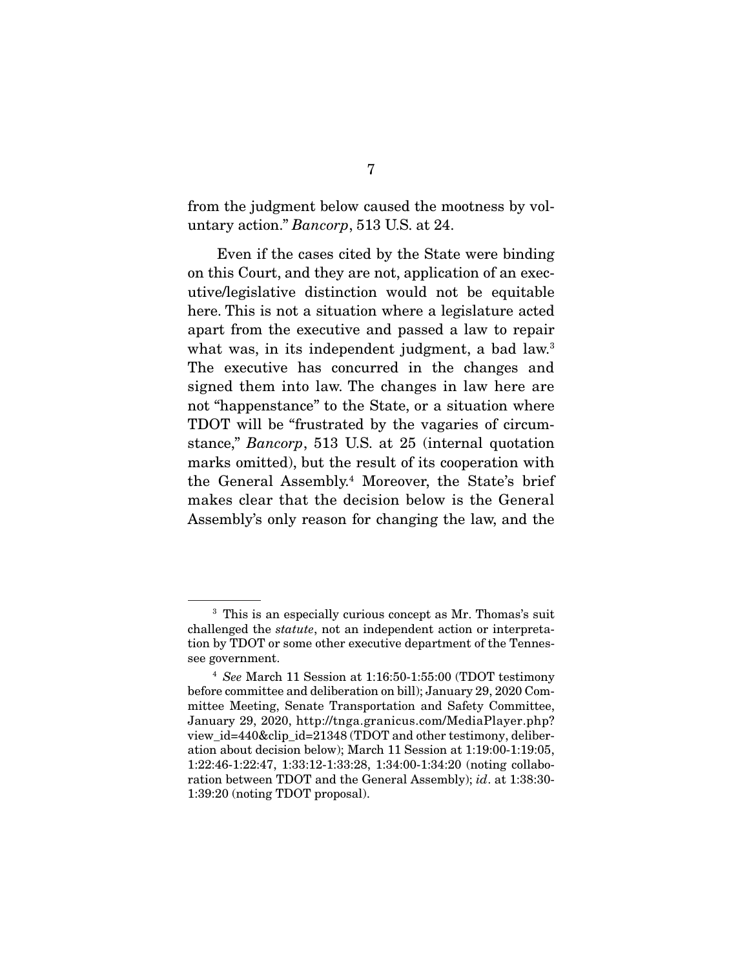from the judgment below caused the mootness by voluntary action." *Bancorp*, 513 U.S. at 24.

 Even if the cases cited by the State were binding on this Court, and they are not, application of an executive/legislative distinction would not be equitable here. This is not a situation where a legislature acted apart from the executive and passed a law to repair what was, in its independent judgment, a bad law.<sup>3</sup> The executive has concurred in the changes and signed them into law. The changes in law here are not "happenstance" to the State, or a situation where TDOT will be "frustrated by the vagaries of circumstance," *Bancorp*, 513 U.S. at 25 (internal quotation marks omitted), but the result of its cooperation with the General Assembly.4 Moreover, the State's brief makes clear that the decision below is the General Assembly's only reason for changing the law, and the

<sup>&</sup>lt;sup>3</sup> This is an especially curious concept as Mr. Thomas's suit challenged the *statute*, not an independent action or interpretation by TDOT or some other executive department of the Tennessee government.

<sup>4</sup> *See* March 11 Session at 1:16:50-1:55:00 (TDOT testimony before committee and deliberation on bill); January 29, 2020 Committee Meeting, Senate Transportation and Safety Committee, January 29, 2020, http://tnga.granicus.com/MediaPlayer.php? view id=440&clip id=21348 (TDOT and other testimony, deliberation about decision below); March 11 Session at 1:19:00-1:19:05, 1:22:46-1:22:47, 1:33:12-1:33:28, 1:34:00-1:34:20 (noting collaboration between TDOT and the General Assembly); *id*. at 1:38:30- 1:39:20 (noting TDOT proposal).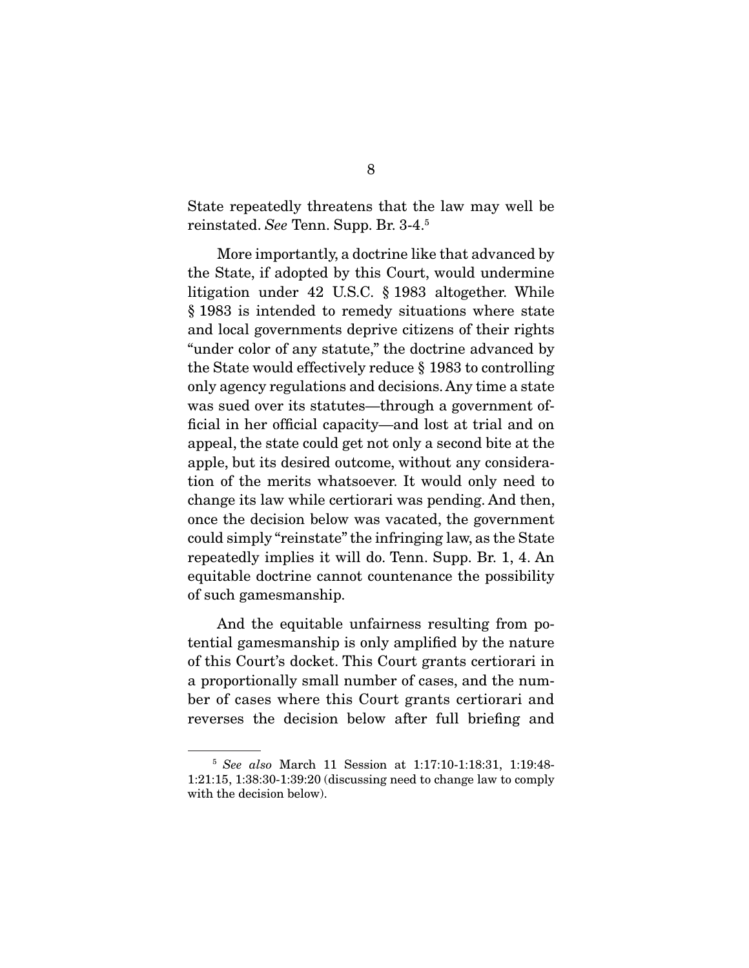State repeatedly threatens that the law may well be reinstated. *See* Tenn. Supp. Br. 3-4.5

 More importantly, a doctrine like that advanced by the State, if adopted by this Court, would undermine litigation under 42 U.S.C. § 1983 altogether. While § 1983 is intended to remedy situations where state and local governments deprive citizens of their rights "under color of any statute," the doctrine advanced by the State would effectively reduce § 1983 to controlling only agency regulations and decisions. Any time a state was sued over its statutes—through a government official in her official capacity—and lost at trial and on appeal, the state could get not only a second bite at the apple, but its desired outcome, without any consideration of the merits whatsoever. It would only need to change its law while certiorari was pending. And then, once the decision below was vacated, the government could simply "reinstate" the infringing law, as the State repeatedly implies it will do. Tenn. Supp. Br. 1, 4. An equitable doctrine cannot countenance the possibility of such gamesmanship.

 And the equitable unfairness resulting from potential gamesmanship is only amplified by the nature of this Court's docket. This Court grants certiorari in a proportionally small number of cases, and the number of cases where this Court grants certiorari and reverses the decision below after full briefing and

<sup>5</sup> *See also* March 11 Session at 1:17:10-1:18:31, 1:19:48- 1:21:15, 1:38:30-1:39:20 (discussing need to change law to comply with the decision below).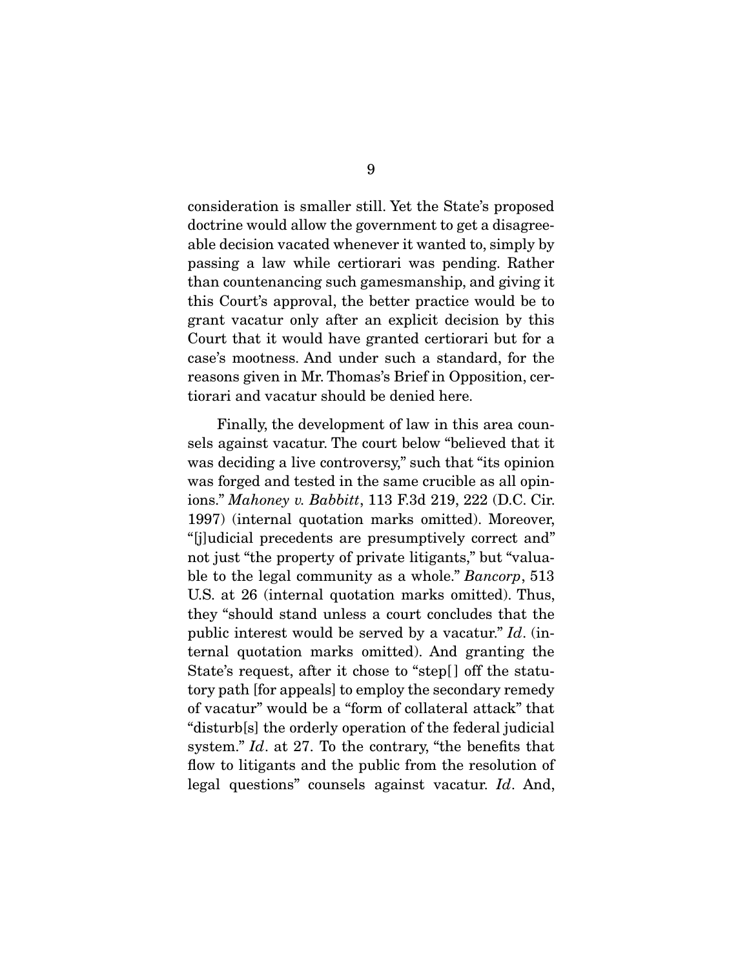consideration is smaller still. Yet the State's proposed doctrine would allow the government to get a disagreeable decision vacated whenever it wanted to, simply by passing a law while certiorari was pending. Rather than countenancing such gamesmanship, and giving it this Court's approval, the better practice would be to grant vacatur only after an explicit decision by this Court that it would have granted certiorari but for a case's mootness. And under such a standard, for the reasons given in Mr. Thomas's Brief in Opposition, certiorari and vacatur should be denied here.

 Finally, the development of law in this area counsels against vacatur. The court below "believed that it was deciding a live controversy," such that "its opinion" was forged and tested in the same crucible as all opinions." *Mahoney v. Babbitt*, 113 F.3d 219, 222 (D.C. Cir. 1997) (internal quotation marks omitted). Moreover, "[j]udicial precedents are presumptively correct and" not just "the property of private litigants," but "valuable to the legal community as a whole." *Bancorp*, 513 U.S. at 26 (internal quotation marks omitted). Thus, they "should stand unless a court concludes that the public interest would be served by a vacatur." *Id*. (internal quotation marks omitted). And granting the State's request, after it chose to "step[] off the statutory path [for appeals] to employ the secondary remedy of vacatur" would be a "form of collateral attack" that "disturb[s] the orderly operation of the federal judicial system." *Id*. at 27. To the contrary, "the benefits that flow to litigants and the public from the resolution of legal questions" counsels against vacatur. *Id*. And,